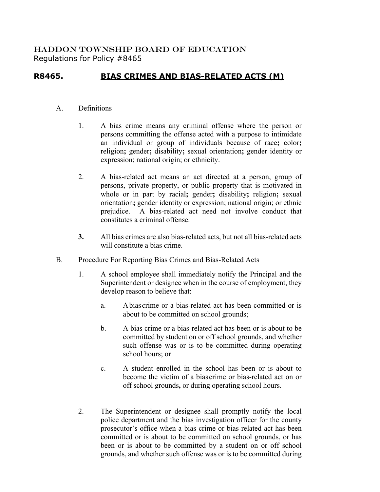## HADDON TOWNSHIP BOARD OF EDUCATION Regulations for Policy #8465

## **R8465. BIAS CRIMES AND BIAS-RELATED ACTS (M)**

## A. Definitions

- 1. A bias crime means any criminal offense where the person or persons committing the offense acted with a purpose to intimidate an individual or group of individuals because of race**;** color**;** religion**;** gender**;** disability**;** sexual orientation**;** gender identity or expression; national origin; or ethnicity.
- 2. A bias-related act means an act directed at a person, group of persons, private property, or public property that is motivated in whole or in part by racial**;** gender**;** disability**;** religion**;** sexual orientation**;** gender identity or expression; national origin; or ethnic prejudice. A bias-related act need not involve conduct that constitutes a criminal offense.
- **3.** All bias crimes are also bias-related acts, but not all bias-related acts will constitute a bias crime.
- B. Procedure For Reporting Bias Crimes and Bias-Related Acts
	- 1. A school employee shall immediately notify the Principal and the Superintendent or designee when in the course of employment, they develop reason to believe that:
		- a. Abias crime or a bias-related act has been committed or is about to be committed on school grounds;
		- b. A bias crime or a bias-related act has been or is about to be committed by student on or off school grounds, and whether such offense was or is to be committed during operating school hours; or
		- c. A student enrolled in the school has been or is about to become the victim of a bias crime or bias-related act on or off school grounds**,** or during operating school hours.
	- 2. The Superintendent or designee shall promptly notify the local police department and the bias investigation officer for the county prosecutor's office when a bias crime or bias-related act has been committed or is about to be committed on school grounds, or has been or is about to be committed by a student on or off school grounds, and whether such offense was or is to be committed during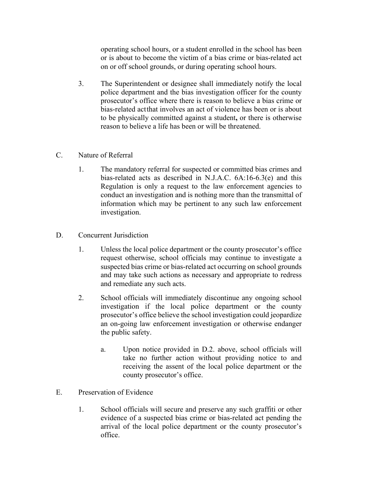operating school hours, or a student enrolled in the school has been or is about to become the victim of a bias crime or bias-related act on or off school grounds, or during operating school hours.

- 3. The Superintendent or designee shall immediately notify the local police department and the bias investigation officer for the county prosecutor's office where there is reason to believe a bias crime or bias-related actthat involves an act of violence has been or is about to be physically committed against a student**,** or there is otherwise reason to believe a life has been or will be threatened.
- C. Nature of Referral
	- 1. The mandatory referral for suspected or committed bias crimes and bias-related acts as described in N.J.A.C. 6A:16-6.3(e) and this Regulation is only a request to the law enforcement agencies to conduct an investigation and is nothing more than the transmittal of information which may be pertinent to any such law enforcement investigation.
- D. Concurrent Jurisdiction
	- 1. Unless the local police department or the county prosecutor's office request otherwise, school officials may continue to investigate a suspected bias crime or bias-related act occurring on school grounds and may take such actions as necessary and appropriate to redress and remediate any such acts.
	- 2. School officials will immediately discontinue any ongoing school investigation if the local police department or the county prosecutor's office believe the school investigation could jeopardize an on-going law enforcement investigation or otherwise endanger the public safety.
		- a. Upon notice provided in D.2. above, school officials will take no further action without providing notice to and receiving the assent of the local police department or the county prosecutor's office.
- E. Preservation of Evidence
	- 1. School officials will secure and preserve any such graffiti or other evidence of a suspected bias crime or bias-related act pending the arrival of the local police department or the county prosecutor's office.